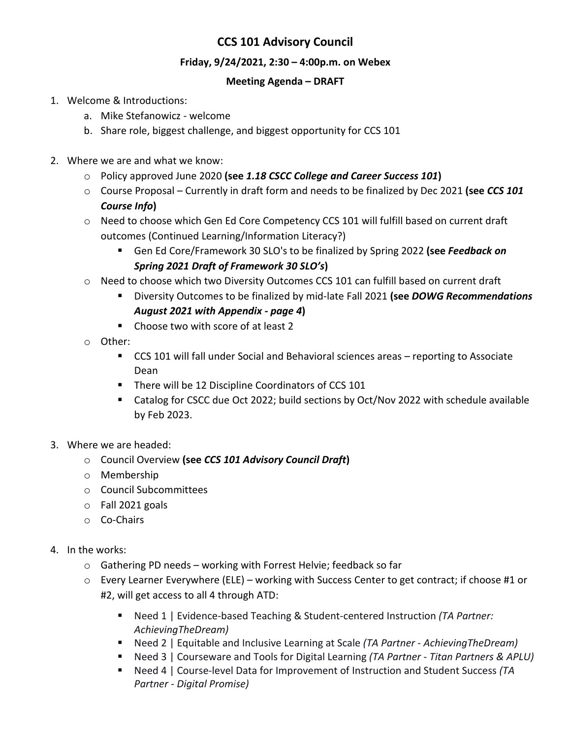## **CCS 101 Advisory Council**

## **Friday, 9/24/2021, 2:30 – 4:00p.m. on Webex**

## **Meeting Agenda – DRAFT**

- 1. Welcome & Introductions:
	- a. Mike Stefanowicz welcome
	- b. Share role, biggest challenge, and biggest opportunity for CCS 101
- 2. Where we are and what we know:
	- o Policy approved June 2020 **(see** *1.18 CSCC College and Career Success 101***)**
	- o Course Proposal Currently in draft form and needs to be finalized by Dec 2021 **(see** *CCS 101 Course Info***)**
	- o Need to choose which Gen Ed Core Competency CCS 101 will fulfill based on current draft outcomes (Continued Learning/Information Literacy?)
		- Gen Ed Core/Framework 30 SLO's to be finalized by Spring 2022 **(see** *Feedback on Spring 2021 Draft of Framework 30 SLO's***)**
	- $\circ$  Need to choose which two Diversity Outcomes CCS 101 can fulfill based on current draft
		- Diversity Outcomes to be finalized by mid-late Fall 2021 **(see** *DOWG Recommendations August 2021 with Appendix - page 4***)**
		- Choose two with score of at least 2
	- o Other:
		- CCS 101 will fall under Social and Behavioral sciences areas reporting to Associate Dean
		- **There will be 12 Discipline Coordinators of CCS 101**
		- Catalog for CSCC due Oct 2022; build sections by Oct/Nov 2022 with schedule available by Feb 2023.
- 3. Where we are headed:
	- o Council Overview **(see** *CCS 101 Advisory Council Draft***)**
	- o Membership
	- o Council Subcommittees
	- o Fall 2021 goals
	- o Co-Chairs
- 4. In the works:
	- o Gathering PD needs working with Forrest Helvie; feedback so far
	- o Every Learner Everywhere (ELE) working with Success Center to get contract; if choose #1 or #2, will get access to all 4 through ATD:
		- Need 1 | Evidence-based Teaching & Student-centered Instruction (TA Partner: *AchievingTheDream)*
		- Need 2 | Equitable and Inclusive Learning at Scale *(TA Partner - AchievingTheDream)*
		- Need 3 | Courseware and Tools for Digital Learning *(TA Partner - Titan Partners & APLU)*
		- Need 4 | Course-level Data for Improvement of Instruction and Student Success (TA *Partner - Digital Promise)*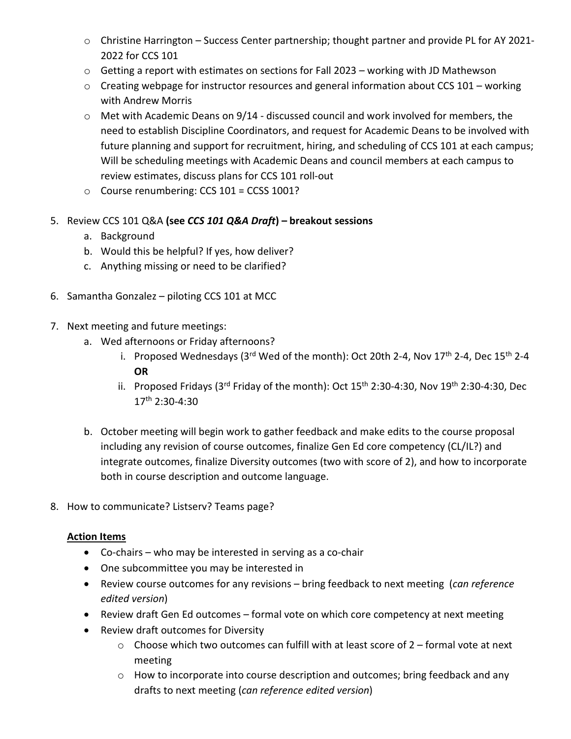- o Christine Harrington Success Center partnership; thought partner and provide PL for AY 2021- 2022 for CCS 101
- $\circ$  Getting a report with estimates on sections for Fall 2023 working with JD Mathewson
- $\circ$  Creating webpage for instructor resources and general information about CCS 101 working with Andrew Morris
- $\circ$  Met with Academic Deans on 9/14 discussed council and work involved for members, the need to establish Discipline Coordinators, and request for Academic Deans to be involved with future planning and support for recruitment, hiring, and scheduling of CCS 101 at each campus; Will be scheduling meetings with Academic Deans and council members at each campus to review estimates, discuss plans for CCS 101 roll-out
- o Course renumbering: CCS 101 = CCSS 1001?
- 5. Review CCS 101 Q&A **(see** *CCS 101 Q&A Draft***) – breakout sessions**
	- a. Background
	- b. Would this be helpful? If yes, how deliver?
	- c. Anything missing or need to be clarified?
- 6. Samantha Gonzalez piloting CCS 101 at MCC
- 7. Next meeting and future meetings:
	- a. Wed afternoons or Friday afternoons?
		- i. Proposed Wednesdays (3rd Wed of the month): Oct 20th 2-4, Nov  $17<sup>th</sup>$  2-4, Dec  $15<sup>th</sup>$  2-4 **OR**
		- ii. Proposed Fridays (3rd Friday of the month): Oct  $15<sup>th</sup>$  2:30-4:30, Nov  $19<sup>th</sup>$  2:30-4:30, Dec 17th 2:30-4:30
	- b. October meeting will begin work to gather feedback and make edits to the course proposal including any revision of course outcomes, finalize Gen Ed core competency (CL/IL?) and integrate outcomes, finalize Diversity outcomes (two with score of 2), and how to incorporate both in course description and outcome language.
- 8. How to communicate? Listserv? Teams page?

## **Action Items**

- Co-chairs who may be interested in serving as a co-chair
- One subcommittee you may be interested in
- Review course outcomes for any revisions bring feedback to next meeting (*can reference edited version*)
- Review draft Gen Ed outcomes formal vote on which core competency at next meeting
- Review draft outcomes for Diversity
	- $\circ$  Choose which two outcomes can fulfill with at least score of 2 formal vote at next meeting
	- o How to incorporate into course description and outcomes; bring feedback and any drafts to next meeting (*can reference edited version*)